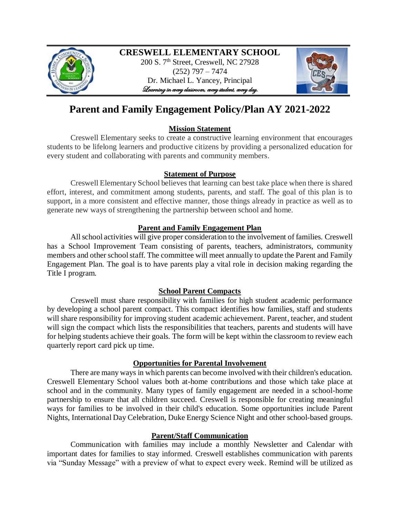

# **CRESWELL ELEMENTARY SCHOOL**

200 S. 7<sup>th</sup> Street, Creswell, NC 27928 (252) 797 – 7474 Dr. Michael L. Yancey, Principal Learning in every classroom, every student, every day.



# **Parent and Family Engagement Policy/Plan AY 2021-2022**

## **Mission Statement**

Creswell Elementary seeks to create a constructive learning environment that encourages students to be lifelong learners and productive citizens by providing a personalized education for every student and collaborating with parents and community members.

## **Statement of Purpose**

Creswell Elementary School believes that learning can best take place when there is shared effort, interest, and commitment among students, parents, and staff. The goal of this plan is to support, in a more consistent and effective manner, those things already in practice as well as to generate new ways of strengthening the partnership between school and home.

# **Parent and Family Engagement Plan**

All school activities will give proper consideration to the involvement of families. Creswell has a School Improvement Team consisting of parents, teachers, administrators, community members and other school staff. The committee will meet annually to update the Parent and Family Engagement Plan. The goal is to have parents play a vital role in decision making regarding the Title I program.

## **School Parent Compacts**

Creswell must share responsibility with families for high student academic performance by developing a school parent compact. This compact identifies how families, staff and students will share responsibility for improving student academic achievement. Parent, teacher, and student will sign the compact which lists the responsibilities that teachers, parents and students will have for helping students achieve their goals. The form will be kept within the classroom to review each quarterly report card pick up time.

# **Opportunities for Parental Involvement**

There are many ways in which parents can become involved with their children's education. Creswell Elementary School values both at-home contributions and those which take place at school and in the community. Many types of family engagement are needed in a school-home partnership to ensure that all children succeed. Creswell is responsible for creating meaningful ways for families to be involved in their child's education. Some opportunities include Parent Nights, International Day Celebration, Duke Energy Science Night and other school-based groups.

## **Parent/Staff Communication**

Communication with families may include a monthly Newsletter and Calendar with important dates for families to stay informed. Creswell establishes communication with parents via "Sunday Message" with a preview of what to expect every week. Remind will be utilized as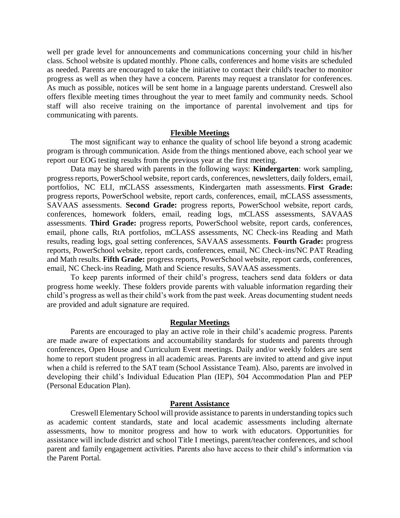well per grade level for announcements and communications concerning your child in his/her class. School website is updated monthly. Phone calls, conferences and home visits are scheduled as needed. Parents are encouraged to take the initiative to contact their child's teacher to monitor progress as well as when they have a concern. Parents may request a translator for conferences. As much as possible, notices will be sent home in a language parents understand. Creswell also offers flexible meeting times throughout the year to meet family and community needs. School staff will also receive training on the importance of parental involvement and tips for communicating with parents.

### **Flexible Meetings**

The most significant way to enhance the quality of school life beyond a strong academic program is through communication. Aside from the things mentioned above, each school year we report our EOG testing results from the previous year at the first meeting.

Data may be shared with parents in the following ways: **Kindergarten**: work sampling, progress reports, PowerSchool website, report cards, conferences, newsletters, daily folders, email, portfolios, NC ELI, mCLASS assessments, Kindergarten math assessments. **First Grade:**  progress reports, PowerSchool website, report cards, conferences, email, mCLASS assessments, SAVAAS assessments. **Second Grade:** progress reports, PowerSchool website, report cards, conferences, homework folders, email, reading logs, mCLASS assessments, SAVAAS assessments. **Third Grade:** progress reports, PowerSchool website, report cards, conferences, email, phone calls, RtA portfolios, mCLASS assessments, NC Check-ins Reading and Math results, reading logs, goal setting conferences, SAVAAS assessments. **Fourth Grade:** progress reports, PowerSchool website, report cards, conferences, email, NC Check-ins/NC PAT Reading and Math results. **Fifth Grade:** progress reports, PowerSchool website, report cards, conferences, email, NC Check-ins Reading, Math and Science results, SAVAAS assessments.

To keep parents informed of their child's progress, teachers send data folders or data progress home weekly. These folders provide parents with valuable information regarding their child's progress as well as their child's work from the past week. Areas documenting student needs are provided and adult signature are required.

#### **Regular Meetings**

Parents are encouraged to play an active role in their child's academic progress. Parents are made aware of expectations and accountability standards for students and parents through conferences, Open House and Curriculum Event meetings. Daily and/or weekly folders are sent home to report student progress in all academic areas. Parents are invited to attend and give input when a child is referred to the SAT team (School Assistance Team). Also, parents are involved in developing their child's Individual Education Plan (IEP), 504 Accommodation Plan and PEP (Personal Education Plan).

#### **Parent Assistance**

Creswell Elementary School will provide assistance to parents in understanding topics such as academic content standards, state and local academic assessments including alternate assessments, how to monitor progress and how to work with educators. Opportunities for assistance will include district and school Title I meetings, parent/teacher conferences, and school parent and family engagement activities. Parents also have access to their child's information via the Parent Portal.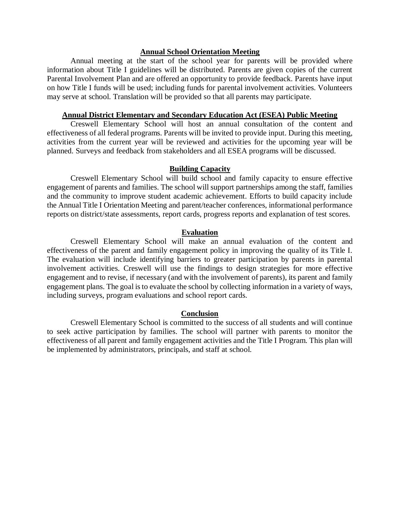### **Annual School Orientation Meeting**

Annual meeting at the start of the school year for parents will be provided where information about Title I guidelines will be distributed. Parents are given copies of the current Parental Involvement Plan and are offered an opportunity to provide feedback. Parents have input on how Title I funds will be used; including funds for parental involvement activities. Volunteers may serve at school. Translation will be provided so that all parents may participate.

### **Annual District Elementary and Secondary Education Act (ESEA) Public Meeting**

Creswell Elementary School will host an annual consultation of the content and effectiveness of all federal programs. Parents will be invited to provide input. During this meeting, activities from the current year will be reviewed and activities for the upcoming year will be planned. Surveys and feedback from stakeholders and all ESEA programs will be discussed.

### **Building Capacity**

Creswell Elementary School will build school and family capacity to ensure effective engagement of parents and families. The school will support partnerships among the staff, families and the community to improve student academic achievement. Efforts to build capacity include the Annual Title I Orientation Meeting and parent/teacher conferences, informational performance reports on district/state assessments, report cards, progress reports and explanation of test scores.

#### **Evaluation**

Creswell Elementary School will make an annual evaluation of the content and effectiveness of the parent and family engagement policy in improving the quality of its Title I. The evaluation will include identifying barriers to greater participation by parents in parental involvement activities. Creswell will use the findings to design strategies for more effective engagement and to revise, if necessary (and with the involvement of parents), its parent and family engagement plans. The goal is to evaluate the school by collecting information in a variety of ways, including surveys, program evaluations and school report cards.

#### **Conclusion**

Creswell Elementary School is committed to the success of all students and will continue to seek active participation by families. The school will partner with parents to monitor the effectiveness of all parent and family engagement activities and the Title I Program. This plan will be implemented by administrators, principals, and staff at school.